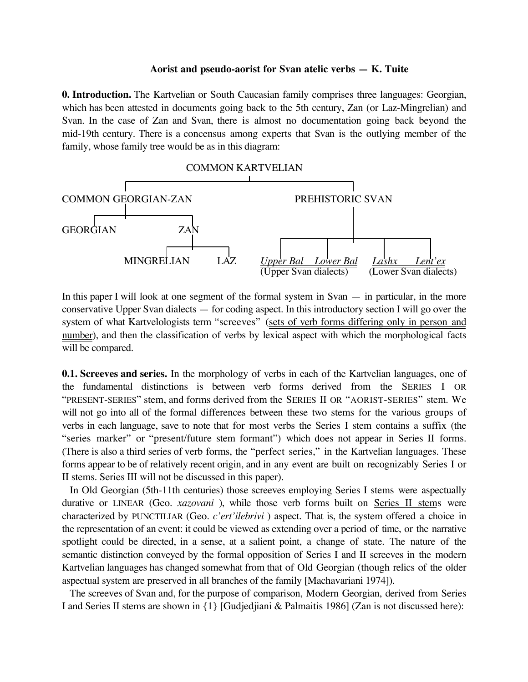#### **Aorist and pseudo-aorist for Svan atelic verbs — K. Tuite**

**0. Introduction.** The Kartvelian or South Caucasian family comprises three languages: Georgian, which has been attested in documents going back to the 5th century, Zan (or Laz-Mingrelian) and Svan. In the case of Zan and Svan, there is almost no documentation going back beyond the mid-19th century. There is a concensus among experts that Svan is the outlying member of the family, whose family tree would be as in this diagram:



In this paper I will look at one segment of the formal system in  $Svan - in$  particular, in the more conservative Upper Svan dialects — for coding aspect. In this introductory section I will go over the system of what Kartvelologists term "screeves" (sets of verb forms differing only in person and number), and then the classification of verbs by lexical aspect with which the morphological facts will be compared.

**0.1. Screeves and series.** In the morphology of verbs in each of the Kartvelian languages, one of the fundamental distinctions is between verb forms derived from the SERIES I OR "PRESENT-SERIES" stem, and forms derived from the SERIES II OR "AORIST-SERIES" stem. We will not go into all of the formal differences between these two stems for the various groups of verbs in each language, save to note that for most verbs the Series I stem contains a suffix (the "series marker" or "present/future stem formant") which does not appear in Series II forms. (There is also a third series of verb forms, the "perfect series," in the Kartvelian languages. These forms appear to be of relatively recent origin, and in any event are built on recognizably Series I or II stems. Series III will not be discussed in this paper).

In Old Georgian (5th-11th centuries) those screeves employing Series I stems were aspectually durative or LINEAR (Geo. *xazovani* ), while those verb forms built on Series II stems were characterized by PUNCTILIAR (Geo. *c'ert'ilebrivi* ) aspect. That is, the system offered a choice in the representation of an event: it could be viewed as extending over a period of time, or the narrative spotlight could be directed, in a sense, at a salient point, a change of state. The nature of the semantic distinction conveyed by the formal opposition of Series I and II screeves in the modern Kartvelian languages has changed somewhat from that of Old Georgian (though relics of the older aspectual system are preserved in all branches of the family [Machavariani 1974]).

The screeves of Svan and, for the purpose of comparison, Modern Georgian, derived from Series I and Series II stems are shown in {1} [Gudjedjiani & Palmaitis 1986] (Zan is not discussed here):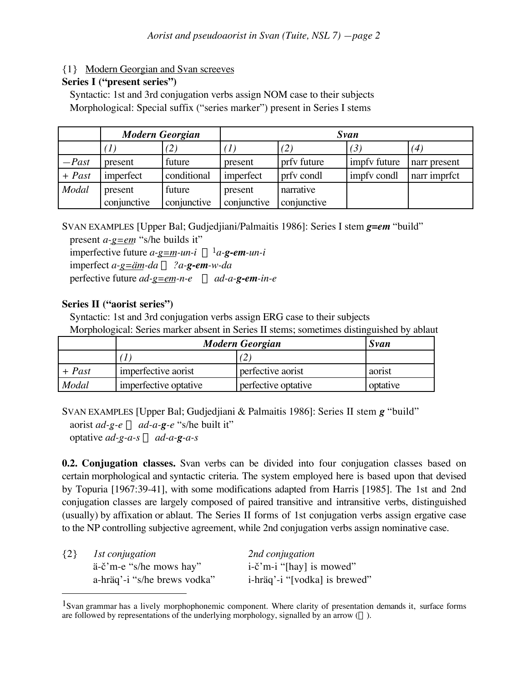# {1} Modern Georgian and Svan screeves

## **Series I ("present series")**

Syntactic: 1st and 3rd conjugation verbs assign NOM case to their subjects Morphological: Special suffix ("series marker") present in Series I stems

|          | <b>Modern Georgian</b> |             | Svan        |             |              |              |
|----------|------------------------|-------------|-------------|-------------|--------------|--------------|
|          | $\prime$ $\prime$      | (2)         | (1)         | (2)         | (3)          | (4)          |
| $-Past$  | present                | future      | present     | prfy future | impfy future | narr present |
| $+$ Past | imperfect              | conditional | imperfect   | prfy condl  | impfy condl  | narr imprfct |
| Modal    | present                | future      | present     | narrative   |              |              |
|          | conjunctive            | conjunctive | conjunctive | conjunctive |              |              |

SVAN EXAMPLES [Upper Bal; Gudjedjiani/Palmaitis 1986]: Series I stem *g=em* "build"

present *a-g=em* "s/he builds it" imperfective future  $a-g=m-un-i \leftarrow a-g-em-un-1$  $imperfect a-g=\ddot{a}m\text{-}da \Leftrightarrow ?a\text{-}g\text{-}em\text{-}w\text{-}da$ perfective future  $ad-g=em-n-e \iff ad-a-g-em-in-e$ 

### **Series II ("aorist series")**

Syntactic: 1st and 3rd conjugation verbs assign ERG case to their subjects Morphological: Series marker absent in Series II stems; sometimes distinguished by ablaut

|          | <b>Modern Georgian</b> |                     | Svan     |
|----------|------------------------|---------------------|----------|
|          |                        |                     |          |
| $+$ Past | imperfective aorist    | perfective aorist   | aorist   |
| Modal    | imperfective optative  | perfective optative | optative |

SVAN EXAMPLES [Upper Bal; Gudjedjiani & Palmaitis 1986]: Series II stem *g* "build" aorist  $ad-g-e \leftarrow ad-a-g-e$  "s/he built it"

optative  $ad-g-a-s \leftarrow ad-a-g-a-s$ 

 $\overline{a}$ 

**0.2. Conjugation classes.** Svan verbs can be divided into four conjugation classes based on certain morphological and syntactic criteria. The system employed here is based upon that devised by Topuria [1967:39-41], with some modifications adapted from Harris [1985]. The 1st and 2nd conjugation classes are largely composed of paired transitive and intransitive verbs, distinguished (usually) by affixation or ablaut. The Series II forms of 1st conjugation verbs assign ergative case to the NP controlling subjective agreement, while 2nd conjugation verbs assign nominative case.

| ${2}$ | <i>Ist conjugation</i>       | 2nd conjugation                    |
|-------|------------------------------|------------------------------------|
|       | a-c'm-e "s/he mows hay"      | $i-\tilde{c}$ m-i "[hay] is mowed" |
|       | a-hräq'-i "s/he brews vodka" | i-hräq'-i "[vodka] is brewed"      |

<sup>&</sup>lt;sup>1</sup>Svan grammar has a lively morphophonemic component. Where clarity of presentation demands it, surface forms are followed by representations of the underlying morphology, signalled by an arrow  $(\Leftarrow)$ .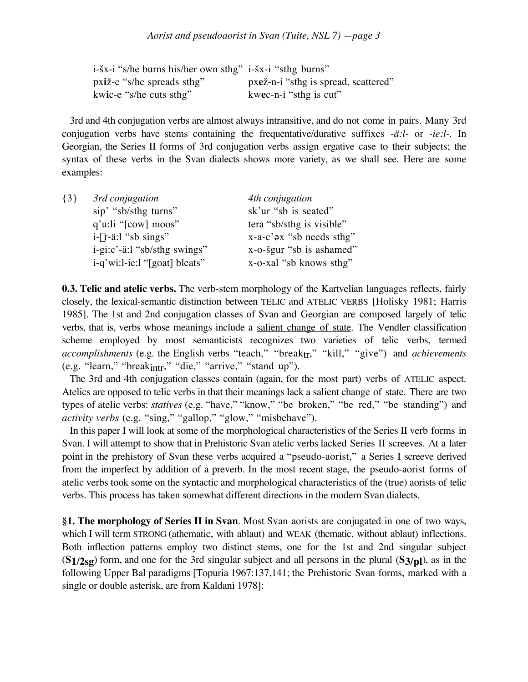| i-šx-i "s/he burns his/her own sthg" i-šx-i "sthg burns" |                                      |
|----------------------------------------------------------|--------------------------------------|
| pxiž-e "s/he spreads sthg"                               | pxež-n-i "sthg is spread, scattered" |
| kwic-e "s/he cuts sthg"                                  | kwec-n-i "sthg is cut"               |

3rd and 4th conjugation verbs are almost always intransitive, and do not come in pairs. Many 3rd conjugation verbs have stems containing the frequentative/durative suffixes *-ä:l-* or *-ie:l-.* In Georgian, the Series II forms of 3rd conjugation verbs assign ergative case to their subjects; the syntax of these verbs in the Svan dialects shows more variety, as we shall see. Here are some examples:

| $\{3\}$ | 3rd conjugation               | 4th conjugation             |
|---------|-------------------------------|-----------------------------|
|         | sip' "sb/sthg turns"          | sk'ur "sb is seated"        |
|         | $q'u$ :li " $[cow]$ moos"     | tera "sb/sthg is visible"   |
|         | $i-\gamma r$ -ä:l "sb sings"  | $x-a-c'$ ax "sb needs sthg" |
|         | i-gi:c'-ä:l "sb/sthg swings"  | x-o-šgur "sb is ashamed"    |
|         | i-q'wi:l-ie:l "[goat] bleats" | x-o-xal "sb knows sthg"     |

**0.3. Telic and atelic verbs.** The verb-stem morphology of the Kartvelian languages reflects, fairly closely, the lexical-semantic distinction between TELIC and ATELIC VERBS [Holisky 1981; Harris 1985]. The 1st and 2nd conjugation classes of Svan and Georgian are composed largely of telic verbs, that is, verbs whose meanings include a salient change of state. The Vendler classification scheme employed by most semanticists recognizes two varieties of telic verbs, termed *accomplishments* (e.g. the English verbs "teach," "breaktr," "kill," "give") and *achievements* (e.g. "learn," "breakintr," "die," "arrive," "stand up").

The 3rd and 4th conjugation classes contain (again, for the most part) verbs of ATELIC aspect. Atelics are opposed to telic verbs in that their meanings lack a salient change of state. There are two types of atelic verbs: *statives* (e.g. "have," "know," "be broken," "be red," "be standing") and *activity verbs* (e.g. "sing," "gallop," "glow," "misbehave").

In this paper I will look at some of the morphological characteristics of the Series II verb forms in Svan. I will attempt to show that in Prehistoric Svan atelic verbs lacked Series II screeves. At a later point in the prehistory of Svan these verbs acquired a "pseudo-aorist," a Series I screeve derived from the imperfect by addition of a preverb. In the most recent stage, the pseudo-aorist forms of atelic verbs took some on the syntactic and morphological characteristics of the (true) aorists of telic verbs. This process has taken somewhat different directions in the modern Svan dialects.

**§1. The morphology of Series II in Svan**. Most Svan aorists are conjugated in one of two ways, which I will term STRONG (athematic, with ablaut) and WEAK (thematic, without ablaut) inflections. Both inflection patterns employ two distinct stems, one for the 1st and 2nd singular subject (**S1/2sg**) form, and one for the 3rd singular subject and all persons in the plural (**S3/pl**), as in the following Upper Bal paradigms [Topuria 1967:137,141; the Prehistoric Svan forms, marked with a single or double asterisk, are from Kaldani 1978]: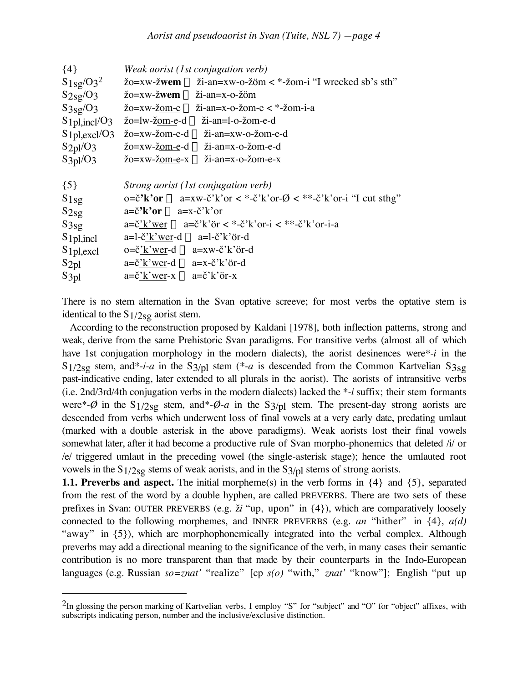| $\{4\}$                                          | Weak aorist (1st conjugation verb)                                                                                                                                                                    |
|--------------------------------------------------|-------------------------------------------------------------------------------------------------------------------------------------------------------------------------------------------------------|
| $S_1$ <sub>sg</sub> /O <sub>3</sub> <sup>2</sup> | $\check{z}$ o=xw-žwem $\Leftarrow$ ži-an=xw-o-žöm < *-žom-i "I wrecked sb's sth"                                                                                                                      |
| $S_{2sg}/O_3$                                    | $\check{z}$ o=xw- $\check{z}$ wem $\Leftarrow \check{z}$ i-an=x-o- $\check{z}$ öm                                                                                                                     |
| S3sg/O3                                          | $\check{z}o = xw - \check{z}om - e \Leftrightarrow \check{z}i - an = x - o - \check{z}om - e \Leftrightarrow \check{z}om - i - a$                                                                     |
| $S_1$ <sub>pl</sub> , incl/O <sub>3</sub>        | žo=lw-žom-e-d ⇔ ži-an=l-o-žom-e-d                                                                                                                                                                     |
| $S_1$ <sub>pl,excl</sub> /O <sub>3</sub>         | žo=xw-žom-e-d ∈ ži-an=xw-o-žom-e-d                                                                                                                                                                    |
| S2pl/O3                                          | $\check{z}o = xw - \check{z}om - e - d \Leftrightarrow \check{z}i - an = x - o - \check{z}om - e - d$                                                                                                 |
| $S_3$ <sub>p</sub> $1/O_3$                       | $\check{z}o = xw - \check{z}om - e^{-x} \Leftarrow \check{z}i - an = x - o - \check{z}om - e^{-x}$                                                                                                    |
|                                                  |                                                                                                                                                                                                       |
|                                                  |                                                                                                                                                                                                       |
| $\{5\}$                                          | Strong aorist (1st conjugation verb)                                                                                                                                                                  |
| S1sg                                             | $o = \check{c}'\mathbf{k}'\mathbf{or} \Leftarrow a = xw - \check{c}'\mathbf{k}'\mathbf{or} < *-\check{c}'\mathbf{k}'\mathbf{or} - \mathcal{O} < **-\check{c}'\mathbf{k}'\mathbf{or} - i$ "I cut sthg" |
| $S_{2sg}$                                        | $a = \check{c}^{\dagger} \mathbf{k}^{\dagger} \mathbf{or} \Leftarrow a = x - \check{c}^{\dagger} \check{k}^{\dagger} \mathbf{or}$                                                                     |
| $S_{3sg}$                                        | $a=\check{c}'$ k' wer $\Leftarrow a=\check{c}'$ k' or $\lt^*$ - $\check{c}'$ k' or- $i \lt^*$ - $\check{c}'$ k' or- $i$ - $a$                                                                         |
| S <sub>1</sub> pl, incl                          | $a=1-\check{c}'\check{k}'$ wer-d $\Leftarrow$ a=1- $\check{c}'\check{k}'$ or-d                                                                                                                        |
| S <sub>1</sub> pl, excl                          | $o = \check{c}'$ is ver-d $\Leftarrow a = xw - \check{c}'$ is or-d                                                                                                                                    |
| $S_{2pl}$                                        | $a = \check{c}'\check{k}'$ wer-d $\Leftarrow$ a=x- $\check{c}'\check{k}'$ or-d                                                                                                                        |

There is no stem alternation in the Svan optative screeve; for most verbs the optative stem is identical to the  $S1/2sg$  aorist stem.

According to the reconstruction proposed by Kaldani [1978], both inflection patterns, strong and weak, derive from the same Prehistoric Svan paradigms. For transitive verbs (almost all of which have 1st conjugation morphology in the modern dialects), the aorist desinences were*\*-i* in the  $S1/2sg$  stem, and<sup>\*-*i-a* in the S<sub>3</sub>/<sub>pl</sub> stem (<sup>\*</sup>-*a* is descended from the Common Kartvelian S<sub>3sg</sub></sup> past-indicative ending, later extended to all plurals in the aorist). The aorists of intransitive verbs (i.e. 2nd/3rd/4th conjugation verbs in the modern dialects) lacked the *\*-i* suffix; their stem formants were<sup>\*</sup>- $\emptyset$  in the S<sub>1</sub>/2<sub>Sg</sub> stem, and<sup>\*</sup>- $\emptyset$ -*a* in the S<sub>3</sub>/<sub>pl</sub> stem. The present-day strong aorists are descended from verbs which underwent loss of final vowels at a very early date, predating umlaut (marked with a double asterisk in the above paradigms). Weak aorists lost their final vowels somewhat later, after it had become a productive rule of Svan morpho-phonemics that deleted /i/ or /e/ triggered umlaut in the preceding vowel (the single-asterisk stage); hence the umlauted root vowels in the  $S1/2sg$  stems of weak aorists, and in the  $S3/pl$  stems of strong aorists.

**1.1. Preverbs and aspect.** The initial morpheme(s) in the verb forms in  $\{4\}$  and  $\{5\}$ , separated from the rest of the word by a double hyphen, are called PREVERBS. There are two sets of these prefixes in Svan: OUTER PREVERBS (e.g.  $\check{z}i$  "up, upon" in  $\{4\}$ ), which are comparatively loosely connected to the following morphemes, and INNER PREVERBS (e.g. *an* "hither" in {4}, *a(d)* "away" in {5}), which are morphophonemically integrated into the verbal complex. Although preverbs may add a directional meaning to the significance of the verb, in many cases their semantic contribution is no more transparent than that made by their counterparts in the Indo-European languages (e.g. Russian *so=znat'* "realize" [cp *s(o)* "with," *znat'* "know"]; English "put up

 $\overline{a}$ 

<sup>&</sup>lt;sup>2</sup>In glossing the person marking of Kartvelian verbs, I employ "S" for "subject" and "O" for "object" affixes, with subscripts indicating person, number and the inclusive/exclusive distinction.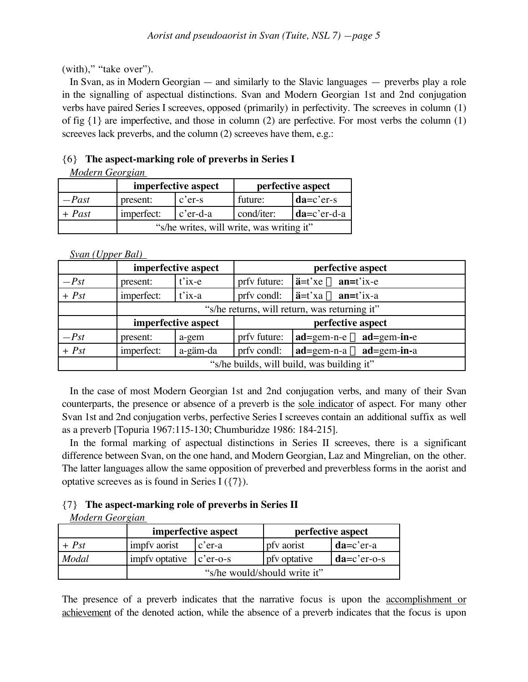(with)," "take over").

In Svan, as in Modern Georgian — and similarly to the Slavic languages — preverbs play a role in the signalling of aspectual distinctions. Svan and Modern Georgian 1st and 2nd conjugation verbs have paired Series I screeves, opposed (primarily) in perfectivity. The screeves in column (1) of fig {1} are imperfective, and those in column (2) are perfective. For most verbs the column (1) screeves lack preverbs, and the column (2) screeves have them, e.g.:

# {6} **The aspect-marking role of preverbs in Series I**

*Modern Georgian*

|          | imperfective aspect                       |                      | perfective aspect |               |
|----------|-------------------------------------------|----------------------|-------------------|---------------|
| $-Past$  | present:                                  | $c'$ er-s            | future:           | $da=c'er-s$   |
| $+$ Past | imperfect:                                | $ c^{\prime}$ er-d-a | cond/iter:        | $da=c'er-d-a$ |
|          | "s/he writes, will write, was writing it" |                      |                   |               |

*Svan (Upper Bal)*

|         |                                               | imperfective aspect       |              | perfective aspect                                                       |
|---------|-----------------------------------------------|---------------------------|--------------|-------------------------------------------------------------------------|
| $-Pst$  | present:                                      | $\overrightarrow{t}$ ix-e | prfy future: | $i = t'xe \leftarrow an = t'ix-e$                                       |
| $+$ Pst | imperfect:                                    | $i'$ ix-a                 | prfv condl:  | $i = t'$ xa $\Leftarrow$ an=t'ix-a                                      |
|         | "s/he returns, will return, was returning it" |                           |              |                                                                         |
|         | imperfective aspect                           |                           |              | perfective aspect                                                       |
| $-Pst$  | present:                                      | a-gem                     | prfy future: | $\mathbf{ad} = \text{gem-n-e} \leftarrow \mathbf{ad} = \text{gem-in-e}$ |
| $+$ Pst | imperfect:                                    | a-gäm-da                  | prfv condl:  | $ad = \text{gem-n-a} \Leftarrow ad = \text{gem-in-a}$                   |
|         | "s/he builds, will build, was building it"    |                           |              |                                                                         |

In the case of most Modern Georgian 1st and 2nd conjugation verbs, and many of their Svan counterparts, the presence or absence of a preverb is the sole indicator of aspect. For many other Svan 1st and 2nd conjugation verbs, perfective Series I screeves contain an additional suffix as well as a preverb [Topuria 1967:115-130; Chumburidze 1986: 184-215].

In the formal marking of aspectual distinctions in Series II screeves, there is a significant difference between Svan, on the one hand, and Modern Georgian, Laz and Mingrelian, on the other. The latter languages allow the same opposition of preverbed and preverbless forms in the aorist and optative screeves as is found in Series I ({7}).

# {7} **The aspect-marking role of preverbs in Series II**

*Modern Georgian*

|         | imperfective aspect          |             |              | perfective aspect |
|---------|------------------------------|-------------|--------------|-------------------|
| $+$ Pst | impfy aorist                 | $c'$ er-a   | pfy aorist   | $da=c'er-a$       |
| Modal   | impfy optative               | $c'$ er-o-s | pfy optative | $da=c'er-o-s$     |
|         | "s/he would/should write it" |             |              |                   |

The presence of a preverb indicates that the narrative focus is upon the accomplishment or achievement of the denoted action, while the absence of a preverb indicates that the focus is upon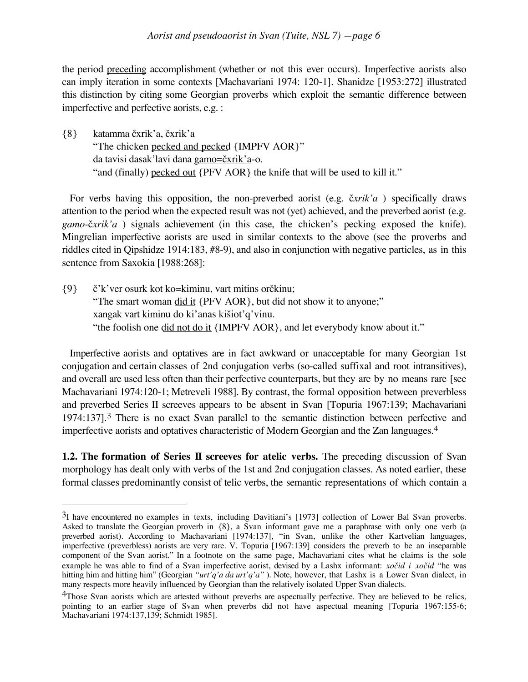the period preceding accomplishment (whether or not this ever occurs). Imperfective aorists also can imply iteration in some contexts [Machavariani 1974: 120-1]. Shanidze [1953:272] illustrated this distinction by citing some Georgian proverbs which exploit the semantic difference between imperfective and perfective aorists, e.g. :

 $\{8\}$  katamma čxrik'a, čxrik'a "The chicken pecked and pecked {IMPFV AOR}" da tavisi dasak'lavi dana gamo=čxrik'a-o. "and (finally) pecked out {PFV AOR} the knife that will be used to kill it."

For verbs having this opposition, the non-preverbed aorist (e.g. čxrik'a) specifically draws attention to the period when the expected result was not (yet) achieved, and the preverbed aorist (e.g.  $gamma$ <sup>x</sup>xik'a) signals achievement (in this case, the chicken's pecking exposed the knife). Mingrelian imperfective aorists are used in similar contexts to the above (see the proverbs and riddles cited in Qipshidze 1914:183, #8-9), and also in conjunction with negative particles, as in this sentence from Saxokia [1988:268]:

 ${9}$   $\check{c}'$ k'ver osurk kot ko=kiminu, vart mitins or $\check{c}$ kinu; "The smart woman did it {PFV AOR}, but did not show it to anyone;" xangak vart kiminu do ki'anas kišiot'q'vinu. "the foolish one did not do it {IMPFV AOR}, and let everybody know about it."

Imperfective aorists and optatives are in fact awkward or unacceptable for many Georgian 1st conjugation and certain classes of 2nd conjugation verbs (so-called suffixal and root intransitives), and overall are used less often than their perfective counterparts, but they are by no means rare [see Machavariani 1974:120-1; Metreveli 1988]. By contrast, the formal opposition between preverbless and preverbed Series II screeves appears to be absent in Svan [Topuria 1967:139; Machavariani 1974:137].<sup>3</sup> There is no exact Svan parallel to the semantic distinction between perfective and imperfective aorists and optatives characteristic of Modern Georgian and the Zan languages.<sup>4</sup>

**1.2. The formation of Series II screeves for atelic verbs.** The preceding discussion of Svan morphology has dealt only with verbs of the 1st and 2nd conjugation classes. As noted earlier, these formal classes predominantly consist of telic verbs, the semantic representations of which contain a

 $\overline{a}$ 

<sup>3</sup>I have encountered no examples in texts, including Davitiani's [1973] collection of Lower Bal Svan proverbs. Asked to translate the Georgian proverb in {8}, a Svan informant gave me a paraphrase with only one verb (a preverbed aorist). According to Machavariani [1974:137], "in Svan, unlike the other Kartvelian languages, imperfective (preverbless) aorists are very rare. V. Topuria [1967:139] considers the preverb to be an inseparable component of the Svan aorist." In a footnote on the same page, Machavariani cites what he claims is the sole example he was able to find of a Svan imperfective aorist, devised by a Lashx informant: *xo™id i xo™id* "he was hitting him and hitting him" (Georgian *"urt'q'a da urt'q'a"*). Note, however, that Lashx is a Lower Svan dialect, in many respects more heavily influenced by Georgian than the relatively isolated Upper Svan dialects.

<sup>&</sup>lt;sup>4</sup>Those Svan aorists which are attested without preverbs are aspectually perfective. They are believed to be relics, pointing to an earlier stage of Svan when preverbs did not have aspectual meaning [Topuria 1967:155-6; Machavariani 1974:137,139; Schmidt 1985].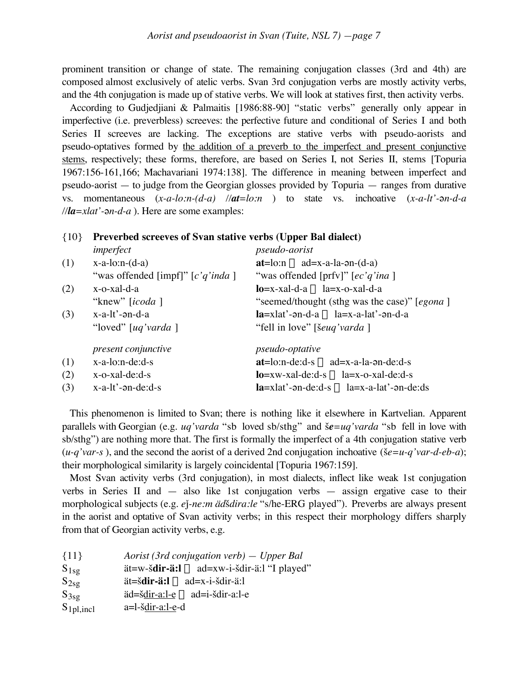prominent transition or change of state. The remaining conjugation classes (3rd and 4th) are composed almost exclusively of atelic verbs. Svan 3rd conjugation verbs are mostly activity verbs, and the 4th conjugation is made up of stative verbs. We will look at statives first, then activity verbs.

According to Gudjedjiani & Palmaitis [1986:88-90] "static verbs" generally only appear in imperfective (i.e. preverbless) screeves: the perfective future and conditional of Series I and both Series II screeves are lacking. The exceptions are stative verbs with pseudo-aorists and pseudo-optatives formed by the addition of a preverb to the imperfect and present conjunctive stems, respectively; these forms, therefore, are based on Series I, not Series II, stems [Topuria 1967:156-161,166; Machavariani 1974:138]. The difference in meaning between imperfect and pseudo-aorist — to judge from the Georgian glosses provided by Topuria — ranges from durative vs. momentaneous  $(x-a-lo:n-(d-a)$  // $at=lo:n$  ) to state vs. inchoative  $(x-a-lt)-a-a$  $\frac{1}{\text{Ha} = xlat' - \rho n - d - a}$ . Here are some examples:

| ${10}$ | Preverbed screeves of Svan stative verbs (Upper Bal dialect) |                                                         |
|--------|--------------------------------------------------------------|---------------------------------------------------------|
|        | imperfect                                                    | <i>pseudo-aorist</i>                                    |
| (1)    | $x-a-lo:n-(d-a)$                                             | $at = lo:n \leftarrow ad = x-a-la-an-(d-a)$             |
|        | "was offended [impf]" $[c'q'inda]$                           | "was offended [prfv]" $[ec'q'ina]$                      |
| (2)    | x-o-xal-d-a                                                  | $lo=x-xa1-d-a \leftarrow la=x-o-xa1-d-a$                |
|        | "knew" [ <i>icoda</i> ]                                      | "seemed/thought (sthg was the case)" [egona]            |
| (3)    | $x-a-lt'$ - $\partial$ n-d-a                                 | $la=x$ lat'-ən-d-a $\Leftarrow$ la=x-a-lat'-ən-d-a      |
|        | "loved" $[uq'$ varda $]$                                     | "fell in love" [šeuq'varda]                             |
|        | present conjunctive                                          | <i>pseudo-optative</i>                                  |
| (1)    | $x-a-lo:n-de: d-s$                                           | $at = lo:n-de:d-s \Leftarrow ad = x-a-la-on-de:d-s$     |
| (2)    | $x$ -o-xal-de:d-s                                            | $lo=xw-xal-de: d-s \leftarrow la=x-o-xal-de: d-s$       |
| (3)    | $x-a-lt'$ - $\partial$ n-de:d-s                              | $l$ a=xlat'-ən-de:d-s $\Leftarrow$ la=x-a-lat'-ən-de:ds |

This phenomenon is limited to Svan; there is nothing like it elsewhere in Kartvelian. Apparent parallels with Georgian (e.g. *uq'varda* "sb loved sb/sthg" and £*e=uq'varda* "sb fell in love with sb/sthg") are nothing more that. The first is formally the imperfect of a 4th conjugation stative verb  $(u-q'var-s)$ , and the second the aorist of a derived 2nd conjugation inchoative ( $\S e = u-q'var-d-e\ b-a$ ); their morphological similarity is largely coincidental [Topuria 1967:159].

Most Svan activity verbs (3rd conjugation), in most dialects, inflect like weak 1st conjugation verbs in Series II and — also like 1st conjugation verbs — assign ergative case to their morphological subjects (e.g. *e*∆*-ne:m äd*£*dira:le* "s/he-ERG played"). Preverbs are always present in the aorist and optative of Svan activity verbs; in this respect their morphology differs sharply from that of Georgian activity verbs, e.g.

| Aorist (3rd conjugation verb) $-$ Upper Bal<br>${11}$                                                                               |  |
|-------------------------------------------------------------------------------------------------------------------------------------|--|
| $\text{at} = w - \text{sdir} - \text{ai} \right) \leftarrow \text{ad} = xw - i - \text{sdir} - \text{ai}$ . "I played"<br>$S_{1sg}$ |  |
| $\ddot{a}t = \dot{s}$ <b>dir-<math>\ddot{a}t</math>.</b> $\leftarrow$ ad=x-i- $\ddot{s}$ dir- $\ddot{a}$ :<br>$S_{2sg}$             |  |
| $\ddot{a}d = \dot{\check{b}}dir - a: l - e \leftarrow ad = i - \check{b}dir - a: l - e$<br>$S_{3sg}$                                |  |
| $S_{1pl, incl}$<br>a=l-šdir-a:l-e-d                                                                                                 |  |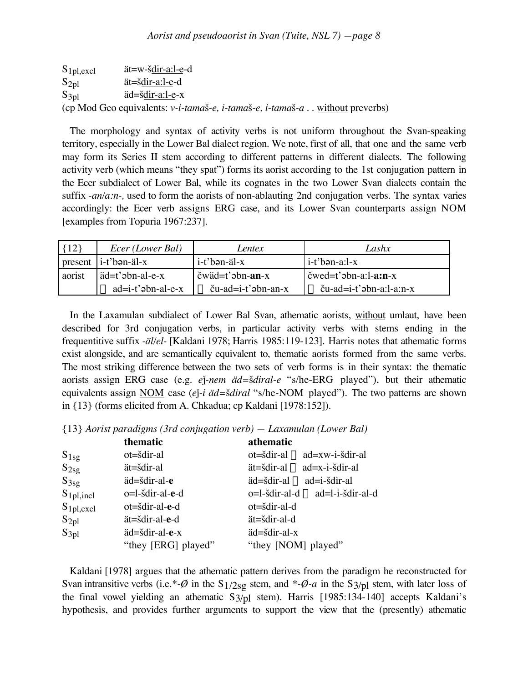$S_{1pl,excl}$  ät=w- $\frac{\text{Sdir-a:}1-e}{\text{Sdir-a:}}$ d  $S_{2pl}$   $\qquad \qquad$   $\ddot{a}t=\dot{s}\frac{dir-a:1-e}{dr-d}$  $S_{3pl}$   $\ddot{a} = \dot{s} \frac{dir - a:1 - e}{x}$ (cp Mod Geo equivalents: *v-i-tama*£*-e, i-tama*£*-e, i-tama*£*-a* . . without preverbs)

The morphology and syntax of activity verbs is not uniform throughout the Svan-speaking territory, especially in the Lower Bal dialect region. We note, first of all, that one and the same verb may form its Series II stem according to different patterns in different dialects. The following activity verb (which means "they spat") forms its aorist according to the 1st conjugation pattern in the Ecer subdialect of Lower Bal, while its cognates in the two Lower Svan dialects contain the suffix *-an/a:n-,* used to form the aorists of non-ablauting 2nd conjugation verbs. The syntax varies accordingly: the Ecer verb assigns ERG case, and its Lower Svan counterparts assign NOM [examples from Topuria 1967:237].

| ${12}$  | <i>Ecer</i> ( <i>Lower Bal</i> ) | <i>entex</i>                                                   | Lashx                                                   |
|---------|----------------------------------|----------------------------------------------------------------|---------------------------------------------------------|
| present | $\left  i-t'$ bən-äl-x           | i-t'bən-äl-x                                                   | i-t'bən-a:l-x                                           |
| aorist  | ad=t'abn-al-e-x                  | $\check{\text{c}}$ wäd=t' $\check{\text{c}}$ bn- $\text{an-x}$ | $\check{c}$ wed=t' $\check{c}$ bn-a:l- $\check{a}$ :n-x |
|         | $\Leftarrow$ ad=i-t'abn-al-e-x   | $\mathbf{l} \Leftarrow$ ču-ad=i-t'abn-an-x                     | $\rightleftharpoons$ ču-ad=i-t'abn-a:l-a:n-x            |

In the Laxamulan subdialect of Lower Bal Svan, athematic aorists, without umlaut, have been described for 3rd conjugation verbs, in particular activity verbs with stems ending in the frequentitive suffix *-äl/el-* [Kaldani 1978; Harris 1985:119-123]. Harris notes that athematic forms exist alongside, and are semantically equivalent to, thematic aorists formed from the same verbs. The most striking difference between the two sets of verb forms is in their syntax: the thematic aorists assign ERG case (e.g. *e*∆*-nem äd=*£*diral-e* "s/he-ERG played"), but their athematic equivalents assign NOM case (*e*)<sup>-*i*</sup> *äd*=š*diral* "s/he-NOM played"). The two patterns are shown in {13} (forms elicited from A. Chkadua; cp Kaldani [1978:152]).

{13} *Aorist paradigms (3rd conjugation verb) — Laxamulan (Lower Bal)*

|                 | thematic            | athematic                                                          |
|-----------------|---------------------|--------------------------------------------------------------------|
| $S_{1sg}$       | ot=šdir-al          | $ot = \check{sd}$ ir-al $\Leftarrow$ ad=xw-i-šdir-al               |
| $S_{2sg}$       | ät=šdir-al          | $\ddot{a}t = \dot{s}dir - a \dot{s} = ad = x - i - \dot{s}dir - a$ |
| $S_{3sg}$       | äd=šdir-al-e        | $\ddot{a}$ d=šdir-al $\Leftarrow$ ad=i-šdir-al                     |
| $S_{1pl, incl}$ | o=l-šdir-al-e-d     | o=l-šdir-al-d ∈ ad=l-i-šdir-al-d                                   |
| $S_{1pl,excl}$  | ot=šdir-al-e-d      | ot=šdir-al-d                                                       |
| $S_{2pl}$       | ät=šdir-al-e-d      | ät=šdir-al-d                                                       |
| $S_{3pl}$       | äd=šdir-al-e-x      | äd=šdir-al-x                                                       |
|                 | "they [ERG] played" | "they [NOM] played"                                                |
|                 |                     |                                                                    |

Kaldani [1978] argues that the athematic pattern derives from the paradigm he reconstructed for Svan intransitive verbs (i.e.\*- $\emptyset$  in the S<sub>1</sub>/2<sub>Sg</sub> stem, and \*- $\emptyset$ -a in the S<sub>3</sub>/<sub>pl</sub> stem, with later loss of the final vowel yielding an athematic S3/pl stem). Harris [1985:134-140] accepts Kaldani's hypothesis, and provides further arguments to support the view that the (presently) athematic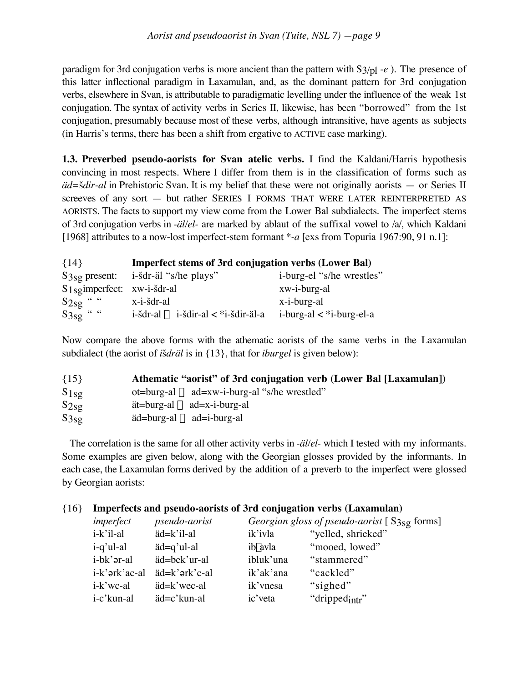paradigm for 3rd conjugation verbs is more ancient than the pattern with S3/pl *-e* ). The presence of this latter inflectional paradigm in Laxamulan, and, as the dominant pattern for 3rd conjugation verbs, elsewhere in Svan, is attributable to paradigmatic levelling under the influence of the weak 1st conjugation. The syntax of activity verbs in Series II, likewise, has been "borrowed" from the 1st conjugation, presumably because most of these verbs, although intransitive, have agents as subjects (in Harris's terms, there has been a shift from ergative to ACTIVE case marking).

**1.3. Preverbed pseudo-aorists for Svan atelic verbs.** I find the Kaldani/Harris hypothesis convincing in most respects. Where I differ from them is in the classification of forms such as *äd=*£*dir-al* in Prehistoric Svan. It is my belief that these were not originally aorists — or Series II screeves of any sort — but rather SERIES I FORMS THAT WERE LATER REINTERPRETED AS AORISTS. The facts to support my view come from the Lower Bal subdialects. The imperfect stems of 3rd conjugation verbs in *-äl/el-* are marked by ablaut of the suffixal vowel to /a/, which Kaldani [1968] attributes to a now-lost imperfect-stem formant \**-a* [exs from Topuria 1967:90, 91 n.1]:

| ${14}$                         | <b>Imperfect stems of 3rd conjugation verbs (Lower Bal)</b> |                              |  |  |
|--------------------------------|-------------------------------------------------------------|------------------------------|--|--|
|                                | $S_{3sg}$ present: i-stdr-al "s/he plays"                   | i-burg-el "s/he wrestles"    |  |  |
| $S_1$ sgimperfect: xw-i-šdr-al |                                                             | xw-i-burg-al                 |  |  |
| $S_{2sg}$ "                    | x-i-šdr-al                                                  | x-i-burg-al                  |  |  |
| $S3sg$ " "                     | $i$ -šdr-al $\Leftarrow$ i-šdir-al $\lt$ *i-šdir-äl-a       | i-burg-al $\lt$ *i-burg-el-a |  |  |

Now compare the above forms with the athematic aorists of the same verbs in the Laxamulan subdialect (the aorist of *išdräl* is in {13}, that for *iburgel* is given below):

| ${15}$    | Athematic "aorist" of 3rd conjugation verb (Lower Bal [Laxamulan])                          |
|-----------|---------------------------------------------------------------------------------------------|
| $S_{1sg}$ | $ot = burg - al \leftarrow ad = xw - i - burg - al$ "s/he wrestled"                         |
| $S_{2s}g$ | $\ddot{\text{at}} = \text{burg-al} \leftarrow \text{ad} = \text{x}-\text{i}-\text{burg-al}$ |
| $S_{3sg}$ | $\ddot{\text{a}}$ d=burg-al $\Leftarrow$ ad=i-burg-al                                       |

The correlation is the same for all other activity verbs in *-äl/el-* which I tested with my informants. Some examples are given below, along with the Georgian glosses provided by the informants. In each case, the Laxamulan forms derived by the addition of a preverb to the imperfect were glossed by Georgian aorists:

# {16} **Imperfects and pseudo-aorists of 3rd conjugation verbs (Laxamulan)**

| imperfect              | <i>pseudo-aorist</i> |           | Georgian gloss of pseudo-aorist [S3 <sub>Sg</sub> forms] |
|------------------------|----------------------|-----------|----------------------------------------------------------|
| i-k'il-al              | äd=k'il-al           | ik'ivla   | "yelled, shrieked"                                       |
| i-q'ul-al              | äd=q'ul-al           | ibyavla   | "mooed, lowed"                                           |
| i-bk' <sub>or-al</sub> | äd=bek'ur-al         | ibluk'una | "stammered"                                              |
| i-k'ərk'ac-al          | äd=k'ərk'c-al        | ik'ak'ana | "cackled"                                                |
| i-k'wc-al              | äd=k'wec-al          | ik' vnesa | "sighed"                                                 |
| i-c'kun-al             | äd=c'kun-al          | ic'veta   | "dripped <sub>intr</sub> "                               |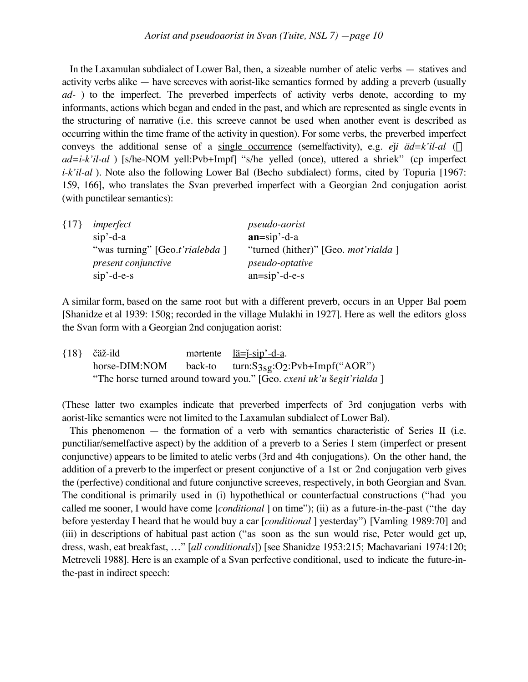In the Laxamulan subdialect of Lower Bal, then, a sizeable number of atelic verbs — statives and activity verbs alike — have screeves with aorist-like semantics formed by adding a preverb (usually *ad-* ) to the imperfect. The preverbed imperfects of activity verbs denote, according to my informants, actions which began and ended in the past, and which are represented as single events in the structuring of narrative (i.e. this screeve cannot be used when another event is described as occurring within the time frame of the activity in question). For some verbs, the preverbed imperfect conveys the additional sense of a single occurrence (semelfactivity), e.g. *e* $\check{i}$ *i äd=k'il-al* ( $\Leftarrow$ *ad=i-k'il-al* ) [s/he-NOM yell:Pvb+Impf] "s/he yelled (once), uttered a shriek" (cp imperfect *i-k'il-al*). Note also the following Lower Bal (Becho subdialect) forms, cited by Topuria [1967: 159, 166], who translates the Svan preverbed imperfect with a Georgian 2nd conjugation aorist (with punctilear semantics):

| ${17}$ | imperfect                      | <i>pseudo-aorist</i>                        |
|--------|--------------------------------|---------------------------------------------|
|        | $\sin$ <sup>2</sup> -d-a       | $an=sip' -d -a$                             |
|        | "was turning" [Geo.t'rialebda] | "turned (hither)" [Geo. <i>mot'rialda</i> ] |
|        | present conjunctive            | <i>pseudo-optative</i>                      |
|        | $\sin$ '-d-e-s                 | $an=sip'-d-e-s$                             |

A similar form, based on the same root but with a different preverb, occurs in an Upper Bal poem [Shanidze et al 1939: 1508; recorded in the village Mulakhi in 1927]. Here as well the editors gloss the Svan form with a Georgian 2nd conjugation aorist:

{18} čäž-ild mortente <u>lä= $\frac{1}{2}$ -sip'-d-a</u>. horse-DIM:NOM back-to turn:S3sg:O2:Pvb+Impf("AOR") "The horse turned around toward you." [Geo. *cxeni uk'u šegit'rialda* ]

(These latter two examples indicate that preverbed imperfects of 3rd conjugation verbs with aorist-like semantics were not limited to the Laxamulan subdialect of Lower Bal).

This phenomenon — the formation of a verb with semantics characteristic of Series II (i.e. punctiliar/semelfactive aspect) by the addition of a preverb to a Series I stem (imperfect or present conjunctive) appears to be limited to atelic verbs (3rd and 4th conjugations). On the other hand, the addition of a preverb to the imperfect or present conjunctive of a 1st or 2nd conjugation verb gives the (perfective) conditional and future conjunctive screeves, respectively, in both Georgian and Svan. The conditional is primarily used in (i) hypothethical or counterfactual constructions ("had you called me sooner, I would have come [*conditional* ] on time"); (ii) as a future-in-the-past ("the day before yesterday I heard that he would buy a car [*conditional* ] yesterday") [Vamling 1989:70] and (iii) in descriptions of habitual past action ("as soon as the sun would rise, Peter would get up, dress, wash, eat breakfast, …" [*all conditionals*]) [see Shanidze 1953:215; Machavariani 1974:120; Metreveli 1988]. Here is an example of a Svan perfective conditional, used to indicate the future-inthe-past in indirect speech: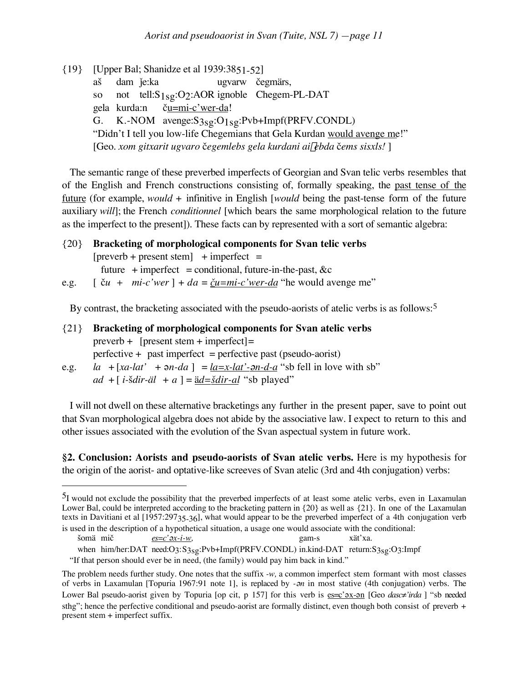{19} [Upper Bal; Shanidze et al 1939:3851-52] aš dam je:ka v ugvarw čegmärs, so not tell:S<sub>1sg</sub>:O<sub>2</sub>:AOR ignoble Chegem-PL-DAT gela kurda:n ču=mi-c'wer-da! G. K.-NOM avenge:S3sg:O1sg:Pvb+Impf(PRFV.CONDL) "Didn't I tell you low-life Chegemians that Gela Kurdan would avenge me!" [Geo. *xom gitxarit ugvaro* ™*egemlebs gela kurdani ai*g*ebda* ™*ems sisxls!* ]

The semantic range of these preverbed imperfects of Georgian and Svan telic verbs resembles that of the English and French constructions consisting of, formally speaking, the past tense of the future (for example, *would* + infinitive in English [*would* being the past-tense form of the future auxiliary *will*]; the French *conditionnel* [which bears the same morphological relation to the future as the imperfect to the present]). These facts can by represented with a sort of semantic algebra:

{20} **Bracketing of morphological components for Svan telic verbs**  $[preverb + present stem] + imperfect =$ future  $+$  imperfect = conditional, future-in-the-past, &c e.g.  $\left[ \begin{array}{ll} \xi u + m i - c' w e r \end{array} \right] + da = \underline{\xi} u = m i - c' w e r - da$  "he would avenge me"

By contrast, the bracketing associated with the pseudo-aorists of atelic verbs is as follows:<sup>5</sup>

- {21} **Bracketing of morphological components for Svan atelic verbs** preverb +  $[present stem + imperfect] =$  $perfective + past imperfect = perfective past (pseudo-aorist)$ e.g. *la* +  $[xa$ -*lat*' +  $\theta$ *n-da*  $] = |a=x$ -*lat*'- $\theta$ *n-d-a* "sb fell in love with sb"
	- $ad + [i \ddot{\theta} + a] = \ddot{a}d = \ddot{\theta} + a'$  is played"

 $\overline{a}$ 

I will not dwell on these alternative bracketings any further in the present paper, save to point out that Svan morphological algebra does not abide by the associative law. I expect to return to this and other issues associated with the evolution of the Svan aspectual system in future work.

**§2. Conclusion: Aorists and pseudo-aorists of Svan atelic verbs.** Here is my hypothesis for the origin of the aorist- and optative-like screeves of Svan atelic (3rd and 4th conjugation) verbs:

<sup>5</sup>I would not exclude the possibility that the preverbed imperfects of at least some atelic verbs, even in Laxamulan Lower Bal, could be interpreted according to the bracketing pattern in  $\{20\}$  as well as  $\{21\}$ . In one of the Laxamulan texts in Davitiani et al [1957:29735-36], what would appear to be the preverbed imperfect of a 4th conjugation verb is used in the description of a hypothetical situation, a usage one would associate with the conditional:

šomä mič *es=c' <u>ex-i-w</u>,* gam-s xät'xa.

when him/her:DAT need:O3:S3sg:Pvb+Impf(PRFV.CONDL) in.kind-DAT return:S3sg:O3:Impf

<sup>&</sup>quot;If that person should ever be in need, (the family) would pay him back in kind."

The problem needs further study. One notes that the suffix *-w,* a common imperfect stem formant with most classes of verbs in Laxamulan [Topuria 1967:91 note 1], is replaced by *-*´*n* in most stative (4th conjugation) verbs. The Lower Bal pseudo-aorist given by Topuria [op cit, p 157] for this verb is es=c' <u>ox-on</u> [Geo *dasc≠'irda* ] "sb needed sthg"; hence the perfective conditional and pseudo-aorist are formally distinct, even though both consist of preverb + present stem + imperfect suffix.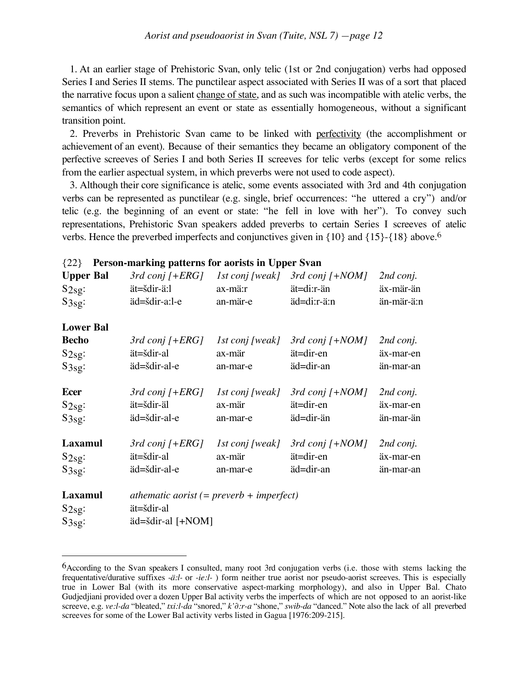1. At an earlier stage of Prehistoric Svan, only telic (1st or 2nd conjugation) verbs had opposed Series I and Series II stems. The punctilear aspect associated with Series II was of a sort that placed the narrative focus upon a salient change of state, and as such was incompatible with atelic verbs, the semantics of which represent an event or state as essentially homogeneous, without a significant transition point.

2. Preverbs in Prehistoric Svan came to be linked with perfectivity (the accomplishment or achievement of an event). Because of their semantics they became an obligatory component of the perfective screeves of Series I and both Series II screeves for telic verbs (except for some relics from the earlier aspectual system, in which preverbs were not used to code aspect).

3. Although their core significance is atelic, some events associated with 3rd and 4th conjugation verbs can be represented as punctilear (e.g. single, brief occurrences: "he uttered a cry") and/or telic (e.g. the beginning of an event or state: "he fell in love with her"). To convey such representations, Prehistoric Svan speakers added preverbs to certain Series I screeves of atelic verbs. Hence the preverbed imperfects and conjunctives given in {10} and {15}-{18} above.<sup>6</sup>

| <b>Upper Bal</b><br>S2sg:<br>S3sg: | $3rd$ conj $[+ERG]$<br>ät=šdir-ä:l<br>äd=šdir-a:l-e      | 1st conj [weak]<br>ax-mä:r<br>an-mär-e | $3rd$ conj $[+NOM]$<br>ät=di:r-än<br>äd=di:r-ä:n | 2nd conj.<br>äx-mär-än<br>än-mär-ä:n |
|------------------------------------|----------------------------------------------------------|----------------------------------------|--------------------------------------------------|--------------------------------------|
| <b>Lower Bal</b>                   |                                                          |                                        |                                                  |                                      |
| <b>Becho</b>                       | $3rd$ conj $[+ERG]$                                      | 1st conj [weak]                        | $3rd \,\text{conj}\,$ [+NOM]                     | 2nd conj.                            |
| S2sg:                              | ät=šdir-al                                               | ax-mär                                 | ät=dir-en                                        | äx-mar-en                            |
| S3sg:                              | äd=šdir-al-e                                             | an-mar-e                               | äd=dir-an                                        | än-mar-an                            |
| <b>Ecer</b>                        | $3rd$ conj $[+ERG]$                                      | 1st conj [weak]                        | $3rd$ conj $[+NOM]$                              | 2nd conj.                            |
| $S_{2sg}:$                         | ät=šdir-äl                                               | ax-mär                                 | ät=dir-en                                        | äx-mar-en                            |
| S3sg:                              | äd=šdir-al-e                                             | an-mar-e                               | äd=dir-än                                        | än-mar-än                            |
| Laxamul                            | $3rd$ conj $[+ERG]$                                      | 1st conj [weak]                        | $3rd \,\text{conj}\,$ [+NOM]                     | 2nd conj.                            |
| $S_{2sg}:$                         | ät=šdir-al                                               | ax-mär                                 | ät=dir-en                                        | äx-mar-en                            |
| S3sg:                              | äd=šdir-al-e                                             | an-mar-e                               | äd=dir-an                                        | än-mar-an                            |
| Laxamul                            | athematic aorist $(= \text{preverb} + \text{imperfect})$ |                                        |                                                  |                                      |
| $S_{2sg}:$                         | ät=šdir-al                                               |                                        |                                                  |                                      |
| S3sg:                              | äd=šdir-al [+NOM]                                        |                                        |                                                  |                                      |

### {22} **Person-marking patterns for aorists in Upper Svan**

 $\overline{a}$ 

<sup>6</sup>According to the Svan speakers I consulted, many root 3rd conjugation verbs (i.e. those with stems lacking the frequentative/durative suffixes *-ä:l-* or *-ie:l-* ) form neither true aorist nor pseudo-aorist screeves. This is especially true in Lower Bal (with its more conservative aspect-marking morphology), and also in Upper Bal. Chato Gudjedjiani provided over a dozen Upper Bal activity verbs the imperfects of which are not opposed to an aorist-like screeve, e.g. *ve:l-da* "bleated," *txi:l-da* "snored," *k'∂:r-a* "shone," *swib-da* "danced." Note also the lack of all preverbed screeves for some of the Lower Bal activity verbs listed in Gagua [1976:209-215].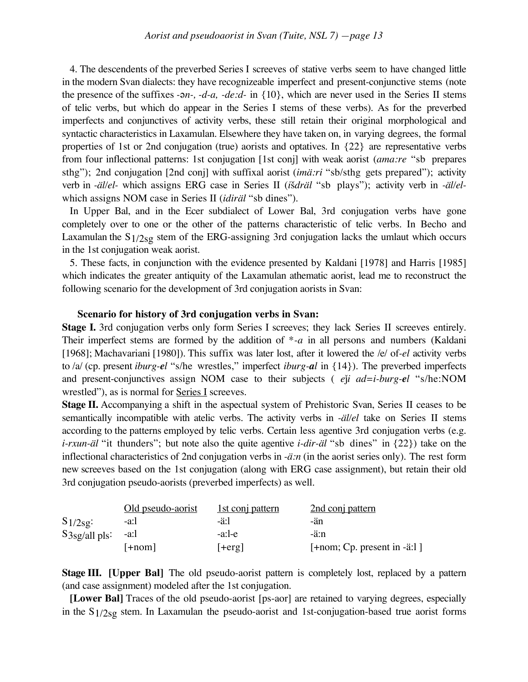4. The descendents of the preverbed Series I screeves of stative verbs seem to have changed little in the modern Svan dialects: they have recognizeable imperfect and present-conjunctive stems (note the presence of the suffixes *-* $\alpha$ *n-, -d-a, -de:d-* in {10}, which are never used in the Series II stems of telic verbs, but which do appear in the Series I stems of these verbs). As for the preverbed imperfects and conjunctives of activity verbs, these still retain their original morphological and syntactic characteristics in Laxamulan. Elsewhere they have taken on, in varying degrees, the formal properties of 1st or 2nd conjugation (true) aorists and optatives. In {22} are representative verbs from four inflectional patterns: 1st conjugation [1st conj] with weak aorist (*ama:re* "sb prepares sthg"); 2nd conjugation [2nd conj] with suffixal aorist (*imä:ri* "sb/sthg gets prepared"); activity verb in -äl/el- which assigns ERG case in Series II (išdräl "sb plays"); activity verb in -äl/elwhich assigns NOM case in Series II (*idiräl* "sb dines").

In Upper Bal, and in the Ecer subdialect of Lower Bal, 3rd conjugation verbs have gone completely over to one or the other of the patterns characteristic of telic verbs. In Becho and Laxamulan the S1/2sg stem of the ERG-assigning 3rd conjugation lacks the umlaut which occurs in the 1st conjugation weak aorist.

5. These facts, in conjunction with the evidence presented by Kaldani [1978] and Harris [1985] which indicates the greater antiquity of the Laxamulan athematic aorist, lead me to reconstruct the following scenario for the development of 3rd conjugation aorists in Svan:

#### **Scenario for history of 3rd conjugation verbs in Svan:**

**Stage I.** 3rd conjugation verbs only form Series I screeves; they lack Series II screeves entirely. Their imperfect stems are formed by the addition of \**-a* in all persons and numbers (Kaldani [1968]; Machavariani [1980]). This suffix was later lost, after it lowered the /e/ of*-el* activity verbs to /a/ (cp. present *iburg-el* "s/he wrestles," imperfect *iburg-al* in {14}). The preverbed imperfects and present-conjunctives assign NOM case to their subjects ( *e*\*i ad=i-burg-el* "s/he:NOM wrestled"), as is normal for <u>Series I</u> screeves.

**Stage II.** Accompanying a shift in the aspectual system of Prehistoric Svan, Series II ceases to be semantically incompatible with atelic verbs. The activity verbs in *-äl/el* take on Series II stems according to the patterns employed by telic verbs. Certain less agentive 3rd conjugation verbs (e.g. *i-rxun-äl* "it thunders"; but note also the quite agentive *i-dir-äl* "sb dines" in {22}) take on the inflectional characteristics of 2nd conjugation verbs in *-ä:n* (in the aorist series only). The rest form new screeves based on the 1st conjugation (along with ERG case assignment), but retain their old 3rd conjugation pseudo-aorists (preverbed imperfects) as well.

|                 | Old pseudo-aorist | 1st conj pattern | 2nd conj pattern              |
|-----------------|-------------------|------------------|-------------------------------|
| $S1/2sg$ :      | -a:l              | -ä:l             | -än                           |
| $S3sg/all$ pls: | -a:l              | $-a:$ -e         | -ä:n                          |
|                 | $+noml$           | $ +erg $         | $[+nom; Cp. present in -ä:1]$ |

**Stage III.** [Upper Bal] The old pseudo-aorist pattern is completely lost, replaced by a pattern (and case assignment) modeled after the 1st conjugation.

**[Lower Bal]** Traces of the old pseudo-aorist [ps-aor] are retained to varying degrees, especially in the  $S1/2s<sub>g</sub>$  stem. In Laxamulan the pseudo-aorist and 1st-conjugation-based true aorist forms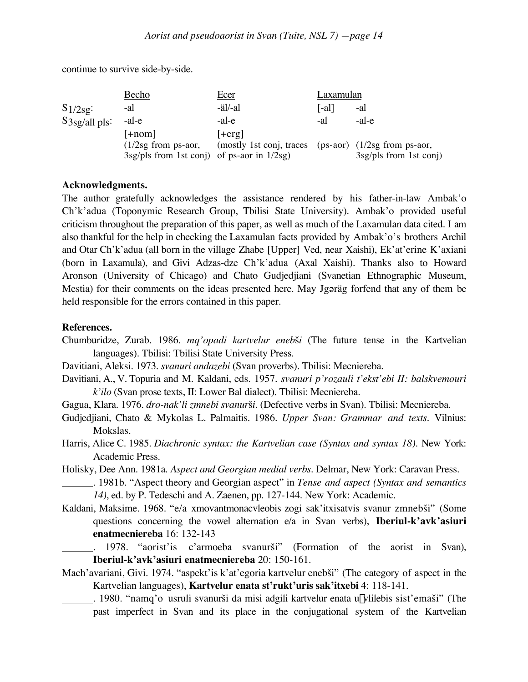continue to survive side-by-side.

|                 | Becho                                           | <u>Ecer</u>                                           | Laxamulan |                          |
|-----------------|-------------------------------------------------|-------------------------------------------------------|-----------|--------------------------|
| $S1/2sg$ :      | -al                                             | -äl/-al                                               | [-al]     | -al                      |
| $S3sg/all$ pls: | -al-e                                           | -al-e                                                 | -al       | -al-e                    |
|                 | $[+nom]$                                        | $ +erg $                                              |           |                          |
|                 | $(1/2sg$ from ps-aor,                           | (mostly 1st conj, traces (ps-aor) (1/2sg from ps-aor, |           |                          |
|                 | $3sg/pls$ from 1st conj) of ps-aor in $1/2sg$ ) |                                                       |           | $3sg/pls$ from 1st conj) |

### **Acknowledgments.**

The author gratefully acknowledges the assistance rendered by his father-in-law Ambak'o Ch'k'adua (Toponymic Research Group, Tbilisi State University). Ambak'o provided useful criticism throughout the preparation of this paper, as well as much of the Laxamulan data cited. I am also thankful for the help in checking the Laxamulan facts provided by Ambak'o's brothers Archil and Otar Ch'k'adua (all born in the village Zhabe [Upper] Ved, near Xaishi), Ek'at'erine K'axiani (born in Laxamula), and Givi Adzas-dze Ch'k'adua (Axal Xaishi). Thanks also to Howard Aronson (University of Chicago) and Chato Gudjedjiani (Svanetian Ethnographic Museum, Mestia) for their comments on the ideas presented here. May Jgaräg forfend that any of them be held responsible for the errors contained in this paper.

### **References.**

Chumburidze, Zurab. 1986. *mq'opadi kartvelur enebši* (The future tense in the Kartvelian languages). Tbilisi: Tbilisi State University Press.

Davitiani, Aleksi. 1973. *svanuri andazebi* (Svan proverbs). Tbilisi: Mecniereba.

- Davitiani, A., V. Topuria and M. Kaldani, eds. 1957. *svanuri p'rozauli t'ekst'ebi II: balskvemouri k'ilo* (Svan prose texts, II: Lower Bal dialect). Tbilisi: Mecniereba.
- Gagua, Klara. 1976. *dro-nak'li zmnebi svanur*£*i.* (Defective verbs in Svan). Tbilisi: Mecniereba.
- Gudjedjiani, Chato & Mykolas L. Palmaitis. 1986. *Upper Svan: Grammar and texts*. Vilnius: Mokslas.
- Harris, Alice C. 1985. *Diachronic syntax: the Kartvelian case (Syntax and syntax 18)*. New York: Academic Press.
- Holisky, Dee Ann. 1981a. *Aspect and Georgian medial verbs*. Delmar, New York: Caravan Press.
	- . 1981b. "Aspect theory and Georgian aspect" in *Tense and aspect (Syntax and semantics 14)*, ed. by P. Tedeschi and A. Zaenen, pp. 127-144. New York: Academic.
- Kaldani, Maksime. 1968. "e/a xmovantmonacvleobis zogi sak'itxisatvis svanur zmnebši" (Some questions concerning the vowel alternation e/a in Svan verbs), **Iberiul-k'avk'asiuri enatmecniereba** 16: 132-143
	- . 1978. "aorist'is c'armoeba svanurši" (Formation of the aorist in Svan), **Iberiul-k'avk'asiuri enatmecniereba** 20: 150-161.
- Mach'avariani, Givi. 1974. "aspekt'is k'at'egoria kartvelur enebši" (The category of aspect in the Kartvelian languages), **Kartvelur enata st'rukt'uris sak'itxebi** 4: 118-141.
	- . 1980. "namq'o usruli svanur£i da misi adgili kartvelur enata ugvlilebis sist'ema£i" (The past imperfect in Svan and its place in the conjugational system of the Kartvelian